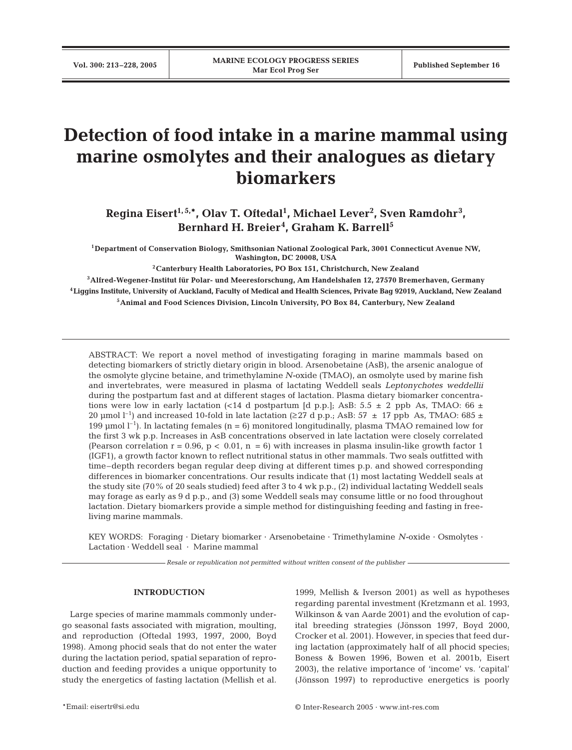# **Detection of food intake in a marine mammal using marine osmolytes and their analogues as dietary biomarkers**

**Regina Eisert1, 5,\*, Olav T. Oftedal1 , Michael Lever2 , Sven Ramdohr<sup>3</sup> , Bernhard H. Breier<sup>4</sup> , Graham K. Barrell5**

**1Department of Conservation Biology, Smithsonian National Zoological Park, 3001 Connecticut Avenue NW, Washington, DC 20008, USA**

**2Canterbury Health Laboratories, PO Box 151, Christchurch, New Zealand**

**3Alfred-Wegener-Institut für Polar- und Meeresforschung, Am Handelshafen 12, 27570 Bremerhaven, Germany 4Liggins Institute, University of Auckland, Faculty of Medical and Health Sciences, Private Bag 92019, Auckland, New Zealand 5Animal and Food Sciences Division, Lincoln University, PO Box 84, Canterbury, New Zealand**

ABSTRACT: We report a novel method of investigating foraging in marine mammals based on detecting biomarkers of strictly dietary origin in blood. Arsenobetaine (AsB), the arsenic analogue of the osmolyte glycine betaine, and trimethylamine *N-*oxide (TMAO), an osmolyte used by marine fish and invertebrates, were measured in plasma of lactating Weddell seals *Leptonychotes weddellii* during the postpartum fast and at different stages of lactation. Plasma dietary biomarker concentrations were low in early lactation (<14 d postpartum [d p.p.]; AsB: 5.5  $\pm$  2 ppb As, TMAO: 66  $\pm$ 20 µmol  $l^{-1}$ ) and increased 10-fold in late lactation (≥27 d p.p.; AsB: 57  $\pm$  17 ppb As, TMAO: 685  $\pm$ 199 µmol  $l^{-1}$ ). In lactating females (n = 6) monitored longitudinally, plasma TMAO remained low for the first 3 wk p.p. Increases in AsB concentrations observed in late lactation were closely correlated (Pearson correlation  $r = 0.96$ ,  $p < 0.01$ ,  $n = 6$ ) with increases in plasma insulin-like growth factor 1 (IGF1), a growth factor known to reflect nutritional status in other mammals. Two seals outfitted with time–depth recorders began regular deep diving at different times p.p. and showed corresponding differences in biomarker concentrations. Our results indicate that (1) most lactating Weddell seals at the study site (70% of 20 seals studied) feed after 3 to 4 wk p.p., (2) individual lactating Weddell seals may forage as early as 9 d p.p., and (3) some Weddell seals may consume little or no food throughout lactation. Dietary biomarkers provide a simple method for distinguishing feeding and fasting in freeliving marine mammals.

KEY WORDS: Foraging · Dietary biomarker · Arsenobetaine · Trimethylamine *N-*oxide · Osmolytes · Lactation · Weddell seal · Marine mammal

*Resale or republication not permitted without written consent of the publisher*

### **INTRODUCTION**

Large species of marine mammals commonly undergo seasonal fasts associated with migration, moulting, and reproduction (Oftedal 1993, 1997, 2000, Boyd 1998). Among phocid seals that do not enter the water during the lactation period, spatial separation of reproduction and feeding provides a unique opportunity to study the energetics of fasting lactation (Mellish et al. 1999, Mellish & Iverson 2001) as well as hypotheses regarding parental investment (Kretzmann et al. 1993, Wilkinson & van Aarde 2001) and the evolution of capital breeding strategies (Jönsson 1997, Boyd 2000, Crocker et al. 2001). However, in species that feed during lactation (approximately half of all phocid species; Boness & Bowen 1996, Bowen et al. 2001b, Eisert 2003), the relative importance of 'income' vs. 'capital' (Jönsson 1997) to reproductive energetics is poorly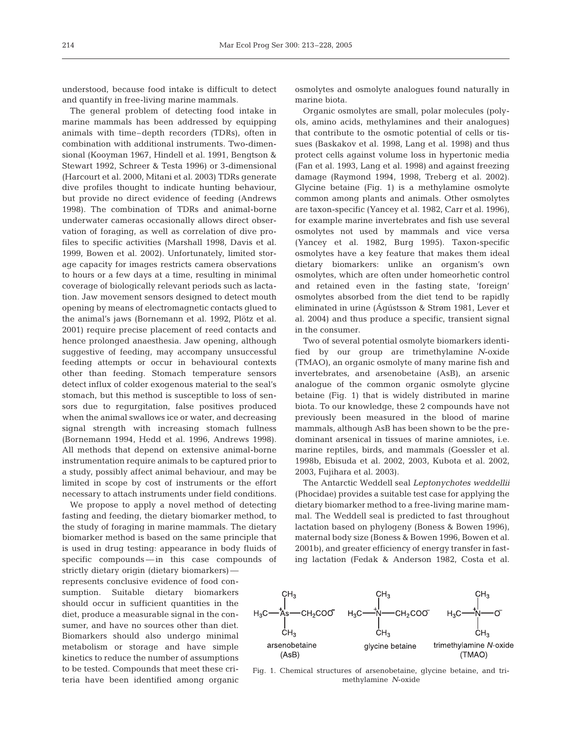understood, because food intake is difficult to detect and quantify in free-living marine mammals.

The general problem of detecting food intake in marine mammals has been addressed by equipping animals with time–depth recorders (TDRs), often in combination with additional instruments. Two-dimensional (Kooyman 1967, Hindell et al. 1991, Bengtson & Stewart 1992, Schreer & Testa 1996) or 3-dimensional (Harcourt et al. 2000, Mitani et al. 2003) TDRs generate dive profiles thought to indicate hunting behaviour, but provide no direct evidence of feeding (Andrews 1998). The combination of TDRs and animal-borne underwater cameras occasionally allows direct observation of foraging, as well as correlation of dive profiles to specific activities (Marshall 1998, Davis et al. 1999, Bowen et al. 2002). Unfortunately, limited storage capacity for images restricts camera observations to hours or a few days at a time, resulting in minimal coverage of biologically relevant periods such as lactation. Jaw movement sensors designed to detect mouth opening by means of electromagnetic contacts glued to the animal's jaws (Bornemann et al. 1992, Plötz et al. 2001) require precise placement of reed contacts and hence prolonged anaesthesia. Jaw opening, although suggestive of feeding, may accompany unsuccessful feeding attempts or occur in behavioural contexts other than feeding. Stomach temperature sensors detect influx of colder exogenous material to the seal's stomach, but this method is susceptible to loss of sensors due to regurgitation, false positives produced when the animal swallows ice or water, and decreasing signal strength with increasing stomach fullness (Bornemann 1994, Hedd et al. 1996, Andrews 1998). All methods that depend on extensive animal-borne instrumentation require animals to be captured prior to a study, possibly affect animal behaviour, and may be limited in scope by cost of instruments or the effort necessary to attach instruments under field conditions.

We propose to apply a novel method of detecting fasting and feeding, the dietary biomarker method, to the study of foraging in marine mammals. The dietary biomarker method is based on the same principle that is used in drug testing: appearance in body fluids of specific compounds — in this case compounds of

strictly dietary origin (dietary biomarkers) represents conclusive evidence of food consumption. Suitable dietary biomarkers should occur in sufficient quantities in the diet, produce a measurable signal in the consumer, and have no sources other than diet. Biomarkers should also undergo minimal metabolism or storage and have simple kinetics to reduce the number of assumptions to be tested. Compounds that meet these criteria have been identified among organic osmolytes and osmolyte analogues found naturally in marine biota.

Organic osmolytes are small, polar molecules (polyols, amino acids, methylamines and their analogues) that contribute to the osmotic potential of cells or tissues (Baskakov et al. 1998, Lang et al. 1998) and thus protect cells against volume loss in hypertonic media (Fan et al. 1993, Lang et al. 1998) and against freezing damage (Raymond 1994, 1998, Treberg et al. 2002). Glycine betaine (Fig. 1) is a methylamine osmolyte common among plants and animals. Other osmolytes are taxon-specific (Yancey et al. 1982, Carr et al. 1996), for example marine invertebrates and fish use several osmolytes not used by mammals and vice versa (Yancey et al. 1982, Burg 1995). Taxon-specific osmolytes have a key feature that makes them ideal dietary biomarkers: unlike an organism's own osmolytes, which are often under homeorhetic control and retained even in the fasting state, 'foreign' osmolytes absorbed from the diet tend to be rapidly eliminated in urine (Ágústsson & Strøm 1981, Lever et al. 2004) and thus produce a specific, transient signal in the consumer.

Two of several potential osmolyte biomarkers identified by our group are trimethylamine *N*-oxide (TMAO), an organic osmolyte of many marine fish and invertebrates, and arsenobetaine (AsB), an arsenic analogue of the common organic osmolyte glycine betaine (Fig. 1) that is widely distributed in marine biota. To our knowledge, these 2 compounds have not previously been measured in the blood of marine mammals, although AsB has been shown to be the predominant arsenical in tissues of marine amniotes, i.e. marine reptiles, birds, and mammals (Goessler et al. 1998b, Ebisuda et al. 2002, 2003, Kubota et al. 2002, 2003, Fujihara et al. 2003).

The Antarctic Weddell seal *Leptonychotes weddellii* (Phocidae) provides a suitable test case for applying the dietary biomarker method to a free-living marine mammal. The Weddell seal is predicted to fast throughout lactation based on phylogeny (Boness & Bowen 1996), maternal body size (Boness & Bowen 1996, Bowen et al. 2001b), and greater efficiency of energy transfer in fasting lactation (Fedak & Anderson 1982, Costa et al.



Fig. 1. Chemical structures of arsenobetaine, glycine betaine, and trimethylamine *N*-oxide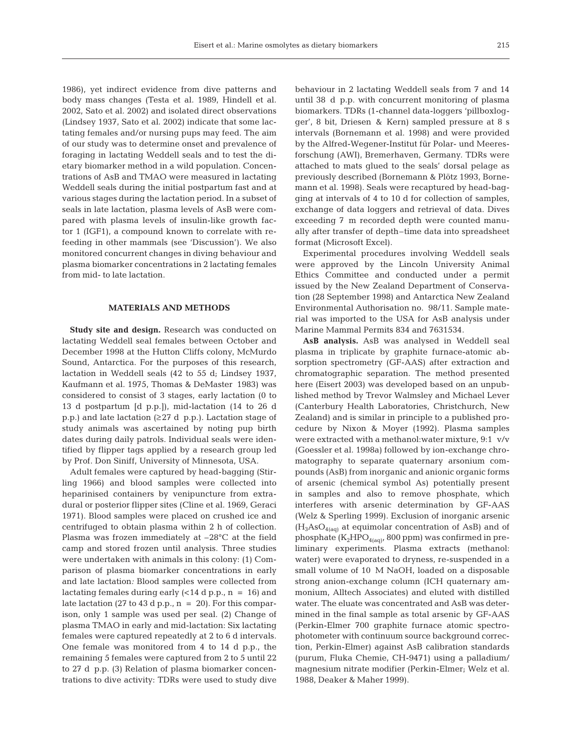1986), yet indirect evidence from dive patterns and body mass changes (Testa et al. 1989, Hindell et al. 2002, Sato et al. 2002) and isolated direct observations (Lindsey 1937, Sato et al. 2002) indicate that some lactating females and/or nursing pups may feed. The aim of our study was to determine onset and prevalence of foraging in lactating Weddell seals and to test the dietary biomarker method in a wild population. Concentrations of AsB and TMAO were measured in lactating Weddell seals during the initial postpartum fast and at various stages during the lactation period. In a subset of seals in late lactation, plasma levels of AsB were compared with plasma levels of insulin-like growth factor 1 (IGF1), a compound known to correlate with refeeding in other mammals (see 'Discussion'). We also monitored concurrent changes in diving behaviour and plasma biomarker concentrations in 2 lactating females from mid- to late lactation.

## **MATERIALS AND METHODS**

**Study site and design.** Research was conducted on lactating Weddell seal females between October and December 1998 at the Hutton Cliffs colony, McMurdo Sound, Antarctica. For the purposes of this research, lactation in Weddell seals (42 to 55 d; Lindsey 1937, Kaufmann et al. 1975, Thomas & DeMaster 1983) was considered to consist of 3 stages, early lactation (0 to 13 d postpartum [d p.p.]), mid-lactation (14 to 26 d p.p.) and late lactation (≥27 d p.p.). Lactation stage of study animals was ascertained by noting pup birth dates during daily patrols. Individual seals were identified by flipper tags applied by a research group led by Prof. Don Siniff, University of Minnesota, USA.

Adult females were captured by head-bagging (Stirling 1966) and blood samples were collected into heparinised containers by venipuncture from extradural or posterior flipper sites (Cline et al. 1969, Geraci 1971). Blood samples were placed on crushed ice and centrifuged to obtain plasma within 2 h of collection. Plasma was frozen immediately at –28°C at the field camp and stored frozen until analysis. Three studies were undertaken with animals in this colony: (1) Comparison of plasma biomarker concentrations in early and late lactation*:* Blood samples were collected from lactating females during early  $(<14 \text{ d p.p.}, n = 16)$  and late lactation (27 to 43 d p.p.,  $n = 20$ ). For this comparison, only 1 sample was used per seal. (2) Change of plasma TMAO in early and mid-lactation: Six lactating females were captured repeatedly at 2 to 6 d intervals. One female was monitored from 4 to 14 d p.p., the remaining 5 females were captured from 2 to 5 until 22 to 27 d p.p. (3) Relation of plasma biomarker concentrations to dive activity: TDRs were used to study dive behaviour in 2 lactating Weddell seals from 7 and 14 until 38 d p.p. with concurrent monitoring of plasma biomarkers. TDRs (1-channel data-loggers 'pillboxlogger', 8 bit, Driesen & Kern) sampled pressure at 8 s intervals (Bornemann et al. 1998) and were provided by the Alfred-Wegener-Institut für Polar- und Meeresforschung (AWI), Bremerhaven, Germany. TDRs were attached to mats glued to the seals' dorsal pelage as previously described (Bornemann & Plötz 1993, Bornemann et al. 1998). Seals were recaptured by head-bagging at intervals of 4 to 10 d for collection of samples, exchange of data loggers and retrieval of data. Dives exceeding 7 m recorded depth were counted manually after transfer of depth–time data into spreadsheet format (Microsoft Excel).

Experimental procedures involving Weddell seals were approved by the Lincoln University Animal Ethics Committee and conducted under a permit issued by the New Zealand Department of Conservation (28 September 1998) and Antarctica New Zealand Environmental Authorisation no. 98/11. Sample material was imported to the USA for AsB analysis under Marine Mammal Permits 834 and 7631534.

**AsB analysis.** AsB was analysed in Weddell seal plasma in triplicate by graphite furnace-atomic absorption spectrometry (GF-AAS) after extraction and chromatographic separation. The method presented here (Eisert 2003) was developed based on an unpublished method by Trevor Walmsley and Michael Lever (Canterbury Health Laboratories, Christchurch, New Zealand) and is similar in principle to a published procedure by Nixon & Moyer (1992). Plasma samples were extracted with a methanol:water mixture, 9:1 v/v (Goessler et al. 1998a) followed by ion-exchange chromatography to separate quaternary arsonium compounds (AsB) from inorganic and anionic organic forms of arsenic (chemical symbol As) potentially present in samples and also to remove phosphate, which interferes with arsenic determination by GF-AAS (Welz & Sperling 1999). Exclusion of inorganic arsenic  $(H_3AsO_{4(aq)}$  at equimolar concentration of AsB) and of phosphate  $(K_2HPO_{4(aq)}, 800$  ppm) was confirmed in preliminary experiments. Plasma extracts (methanol: water) were evaporated to dryness, re-suspended in a small volume of 10 M NaOH, loaded on a disposable strong anion-exchange column (ICH quaternary ammonium, Alltech Associates) and eluted with distilled water. The eluate was concentrated and AsB was determined in the final sample as total arsenic by GF-AAS (Perkin-Elmer 700 graphite furnace atomic spectrophotometer with continuum source background correction, Perkin-Elmer) against AsB calibration standards (purum, Fluka Chemie, CH-9471) using a palladium/ magnesium nitrate modifier (Perkin-Elmer; Welz et al. 1988, Deaker & Maher 1999).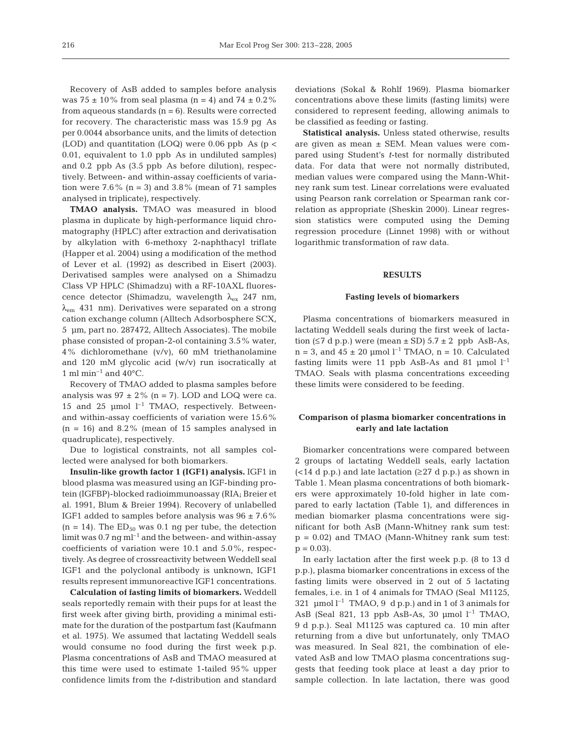Recovery of AsB added to samples before analysis was  $75 \pm 10\%$  from seal plasma (n = 4) and  $74 \pm 0.2\%$ from aqueous standards  $(n = 6)$ . Results were corrected for recovery. The characteristic mass was 15.9 pg As per 0.0044 absorbance units, and the limits of detection (LOD) and quantitation (LOQ) were  $0.06$  ppb As (p < 0.01, equivalent to 1.0 ppb As in undiluted samples) and 0.2 ppb As (3.5 ppb As before dilution), respectively. Between- and within-assay coefficients of variation were  $7.6\%$  (n = 3) and  $3.8\%$  (mean of 71 samples analysed in triplicate), respectively.

**TMAO analysis.** TMAO was measured in blood plasma in duplicate by high-performance liquid chromatography (HPLC) after extraction and derivatisation by alkylation with 6-methoxy 2-naphthacyl triflate (Happer et al. 2004) using a modification of the method of Lever et al. (1992) as described in Eisert (2003). Derivatised samples were analysed on a Shimadzu Class VP HPLC (Shimadzu) with a RF-10AXL fluorescence detector (Shimadzu, wavelength λex 247 nm,  $\lambda_{\rm em}$  431 nm). Derivatives were separated on a strong cation exchange column (Alltech Adsorbosphere SCX, 5 µm, part no. 287472, Alltech Associates). The mobile phase consisted of propan-2-ol containing 3.5% water, 4% dichloromethane (v/v), 60 mM triethanolamine and 120 mM glycolic acid (w/v) run isocratically at 1 ml min<sup>-1</sup> and  $40^{\circ}$ C.

Recovery of TMAO added to plasma samples before analysis was  $97 \pm 2\%$  (n = 7). LOD and LOQ were ca. 15 and 25  $\mu$ mol  $l^{-1}$  TMAO, respectively. Betweenand within-assay coefficients of variation were 15.6%  $(n = 16)$  and 8.2% (mean of 15 samples analysed in quadruplicate), respectively.

Due to logistical constraints, not all samples collected were analysed for both biomarkers.

**Insulin-like growth factor 1 (IGF1) analysis.** IGF1 in blood plasma was measured using an IGF-binding protein (IGFBP)-blocked radioimmunoassay (RIA; Breier et al. 1991, Blum & Breier 1994). Recovery of unlabelled IGF1 added to samples before analysis was  $96 \pm 7.6\%$  $(n = 14)$ . The ED<sub>50</sub> was 0.1 ng per tube, the detection limit was  $0.7$  ng ml<sup>-1</sup> and the between- and within-assay coefficients of variation were 10.1 and 5.0%, respectively. As degree of crossreactivity between Weddell seal IGF1 and the polyclonal antibody is unknown, IGF1 results represent immunoreactive IGF1 concentrations.

**Calculation of fasting limits of biomarkers.** Weddell seals reportedly remain with their pups for at least the first week after giving birth, providing a minimal estimate for the duration of the postpartum fast (Kaufmann et al. 1975). We assumed that lactating Weddell seals would consume no food during the first week p.p. Plasma concentrations of AsB and TMAO measured at this time were used to estimate 1-tailed 95% upper confidence limits from the *t*-distribution and standard

deviations (Sokal & Rohlf 1969). Plasma biomarker concentrations above these limits (fasting limits) were considered to represent feeding, allowing animals to be classified as feeding or fasting.

**Statistical analysis.** Unless stated otherwise, results are given as mean  $\pm$  SEM. Mean values were compared using Student's *t*-test for normally distributed data. For data that were not normally distributed, median values were compared using the Mann-Whitney rank sum test. Linear correlations were evaluated using Pearson rank correlation or Spearman rank correlation as appropriate (Sheskin 2000). Linear regression statistics were computed using the Deming regression procedure (Linnet 1998) with or without logarithmic transformation of raw data.

## **RESULTS**

#### **Fasting levels of biomarkers**

Plasma concentrations of biomarkers measured in lactating Weddell seals during the first week of lactation ( $\leq$ 7 d p.p.) were (mean  $\pm$  SD) 5.7  $\pm$  2 ppb AsB-As,  $n = 3$ , and  $45 \pm 20$  µmol  $l^{-1}$  TMAO,  $n = 10$ . Calculated fasting limits were 11 ppb AsB-As and 81 µmol  $l^{-1}$ TMAO. Seals with plasma concentrations exceeding these limits were considered to be feeding.

# **Comparison of plasma biomarker concentrations in early and late lactation**

Biomarker concentrations were compared between 2 groups of lactating Weddell seals, early lactation  $\left($  < 14 d p.p.) and late lactation ( $\geq$  27 d p.p.) as shown in Table 1. Mean plasma concentrations of both biomarkers were approximately 10-fold higher in late compared to early lactation (Table 1), and differences in median biomarker plasma concentrations were significant for both AsB (Mann-Whitney rank sum test: p = 0.02) and TMAO (Mann-Whitney rank sum test:  $p = 0.03$ .

In early lactation after the first week p.p. (8 to 13 d p.p.), plasma biomarker concentrations in excess of the fasting limits were observed in 2 out of 5 lactating females, i.e. in 1 of 4 animals for TMAO (Seal M1125, 321  $\mu$ mol l<sup>-1</sup> TMAO, 9 d p.p.) and in 1 of 3 animals for AsB (Seal 821, 13 ppb AsB-As, 30  $\mu$ mol l<sup>-1</sup> TMAO, 9 d p.p.). Seal M1125 was captured ca. 10 min after returning from a dive but unfortunately, only TMAO was measured. In Seal 821, the combination of elevated AsB and low TMAO plasma concentrations suggests that feeding took place at least a day prior to sample collection. In late lactation, there was good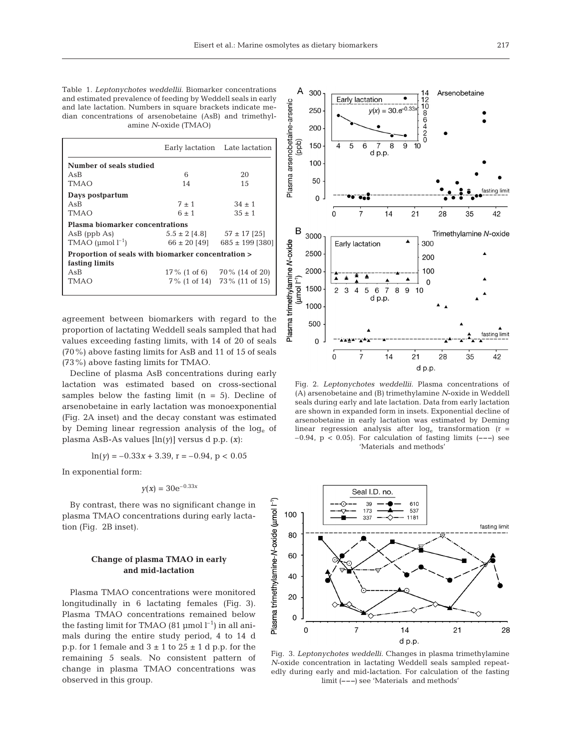Table 1. *Leptonychotes weddellii*. Biomarker concentrations and estimated prevalence of feeding by Weddell seals in early and late lactation. Numbers in square brackets indicate median concentrations of arsenobetaine (AsB) and trimethylamine *N*-oxide (TMAO)

|                                                                      |                  | Early lactation Late lactation     |  |  |  |  |  |  |  |
|----------------------------------------------------------------------|------------------|------------------------------------|--|--|--|--|--|--|--|
| Number of seals studied                                              |                  |                                    |  |  |  |  |  |  |  |
| AsB                                                                  | 6                | 20                                 |  |  |  |  |  |  |  |
| TMAO                                                                 | 14               | 15                                 |  |  |  |  |  |  |  |
| Days postpartum                                                      |                  |                                    |  |  |  |  |  |  |  |
| AsB                                                                  | $7 + 1$          | $.34 + 1$                          |  |  |  |  |  |  |  |
| TMAO                                                                 | $6 + 1$          | $35 \pm 1$                         |  |  |  |  |  |  |  |
| <b>Plasma biomarker concentrations</b>                               |                  |                                    |  |  |  |  |  |  |  |
| $AsB$ (ppb As)                                                       |                  | $5.5 \pm 2$ [4.8] $57 \pm 17$ [25] |  |  |  |  |  |  |  |
| TMAO ( $\mu$ mol $l^{-1}$ )                                          | $66 \pm 20$ [49] | $685 \pm 199$ [380]                |  |  |  |  |  |  |  |
| Proportion of seals with biomarker concentration ><br>fasting limits |                  |                                    |  |  |  |  |  |  |  |
| AsB                                                                  |                  | $17\%$ (1 of 6) 70\% (14 of 20)    |  |  |  |  |  |  |  |
| TMAO                                                                 |                  | 7% (1 of 14) 73% (11 of 15)        |  |  |  |  |  |  |  |

agreement between biomarkers with regard to the proportion of lactating Weddell seals sampled that had values exceeding fasting limits, with 14 of 20 of seals (70%) above fasting limits for AsB and 11 of 15 of seals (73%) above fasting limits for TMAO.

Decline of plasma AsB concentrations during early lactation was estimated based on cross-sectional samples below the fasting limit  $(n = 5)$ . Decline of arsenobetaine in early lactation was monoexponential (Fig. 2A inset) and the decay constant was estimated by Deming linear regression analysis of the  $log<sub>e</sub>$  of plasma AsB-As values [ln(*y*)] versus d p.p. (*x*):

$$
\ln(y) = -0.33x + 3.39, r = -0.94, p < 0.05
$$

In exponential form:

$$
y(x) = 30e^{-0.33x}
$$

By contrast, there was no significant change in plasma TMAO concentrations during early lactation (Fig. 2B inset).

# **Change of plasma TMAO in early and mid-lactation**

Plasma TMAO concentrations were monitored longitudinally in 6 lactating females (Fig. 3). Plasma TMAO concentrations remained below the fasting limit for TMAO (81 µmol  $l^{-1}$ ) in all animals during the entire study period, 4 to 14 d p.p. for 1 female and  $3 \pm 1$  to  $25 \pm 1$  d p.p. for the remaining 5 seals. No consistent pattern of change in plasma TMAO concentrations was observed in this group.



Fig. 2. *Leptonychotes weddellii.* Plasma concentrations of (A) arsenobetaine and (B) trimethylamine *N*-oxide in Weddell seals during early and late lactation. Data from early lactation are shown in expanded form in insets. Exponential decline of arsenobetaine in early lactation was estimated by Deming linear regression analysis after  $log_e$  transformation  $(r =$ –0.94, p < 0.05). For calculation of fasting limits (**–––**) see 'Materials and methods'



Fig. 3. *Leptonychotes weddelli.* Changes in plasma trimethylamine *N*-oxide concentration in lactating Weddell seals sampled repeatedly during early and mid-lactation. For calculation of the fasting limit (**–––**) see 'Materials and methods'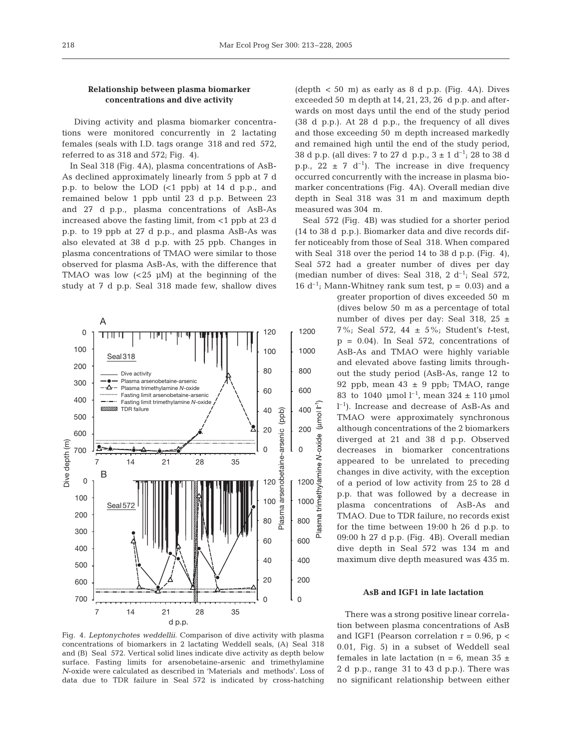# **Relationship between plasma biomarker concentrations and dive activity**

Diving activity and plasma biomarker concentrations were monitored concurrently in 2 lactating females (seals with I.D. tags orange 318 and red 572, referred to as 318 and 572; Fig. 4).

In Seal 318 (Fig. 4A), plasma concentrations of AsB-As declined approximately linearly from 5 ppb at 7 d p.p. to below the LOD (<1 ppb) at 14 d p.p., and remained below 1 ppb until 23 d p.p. Between 23 and 27 d p.p., plasma concentrations of AsB-As increased above the fasting limit, from <1 ppb at 23 d p.p. to 19 ppb at 27 d p.p., and plasma AsB-As was also elevated at 38 d p.p. with 25 ppb. Changes in plasma concentrations of TMAO were similar to those observed for plasma AsB-As, with the difference that TMAO was low  $( $25 \mu M$ )$  at the beginning of the study at 7 d p.p. Seal 318 made few, shallow dives

![](_page_5_Figure_5.jpeg)

Fig. 4. *Leptonychotes weddellii.* Comparison of dive activity with plasma concentrations of biomarkers in 2 lactating Weddell seals, (A) Seal 318 and (B) Seal 572. Vertical solid lines indicate dive activity as depth below surface. Fasting limits for arsenobetaine-arsenic and trimethylamine *N*-oxide were calculated as described in 'Materials and methods'. Loss of data due to TDR failure in Seal 572 is indicated by cross-hatching

 $(depth < 50$  m) as early as 8 d p.p. (Fig. 4A). Dives exceeded 50 m depth at 14, 21, 23, 26 d p.p. and afterwards on most days until the end of the study period (38 d p.p.). At 28 d p.p., the frequency of all dives and those exceeding 50 m depth increased markedly and remained high until the end of the study period, 38 d p.p. (all dives: 7 to 27 d p.p.,  $3 \pm 1$  d<sup>-1</sup>; 28 to 38 d p.p., 22  $\pm$  7 d<sup>-1</sup>). The increase in dive frequency occurred concurrently with the increase in plasma biomarker concentrations (Fig. 4A). Overall median dive depth in Seal 318 was 31 m and maximum depth measured was 304 m.

Seal 572 (Fig. 4B) was studied for a shorter period (14 to 38 d p.p.). Biomarker data and dive records differ noticeably from those of Seal 318. When compared with Seal 318 over the period 14 to 38 d p.p. (Fig. 4), Seal 572 had a greater number of dives per day (median number of dives: Seal 318, 2  $d^{-1}$ ; Seal 572, 16  $d^{-1}$ ; Mann-Whitney rank sum test,  $p = 0.03$ ) and a

> greater proportion of dives exceeded 50 m (dives below 50 m as a percentage of total number of dives per day: Seal 318, 25 ± 7%; Seal 572, 44 ± 5%; Student's *t*-test,  $p = 0.04$ ). In Seal 572, concentrations of AsB-As and TMAO were highly variable and elevated above fasting limits throughout the study period (AsB-As, range 12 to 92 ppb, mean  $43 \pm 9$  ppb; TMAO, range 83 to 1040 µmol  $l^{-1}$ , mean 324 ± 110 µmol l –1). Increase and decrease of AsB-As and TMAO were approximately synchronous although concentrations of the 2 biomarkers diverged at 21 and 38 d p.p. Observed decreases in biomarker concentrations appeared to be unrelated to preceding changes in dive activity, with the exception of a period of low activity from 25 to 28 d p.p. that was followed by a decrease in plasma concentrations of AsB-As and TMAO. Due to TDR failure, no records exist for the time between 19:00 h 26 d p.p. to 09:00 h 27 d p.p. (Fig. 4B). Overall median dive depth in Seal 572 was 134 m and maximum dive depth measured was 435 m.

Ĺ

(umo)

lamine N-oxide

rimethy

asma ᇟ

#### **AsB and IGF1 in late lactation**

There was a strong positive linear correlation between plasma concentrations of AsB and IGF1 (Pearson correlation  $r = 0.96$ ,  $p <$ 0.01, Fig. 5) in a subset of Weddell seal females in late lactation (n = 6, mean  $35 \pm$ 2 d p.p., range 31 to 43 d p.p.). There was no significant relationship between either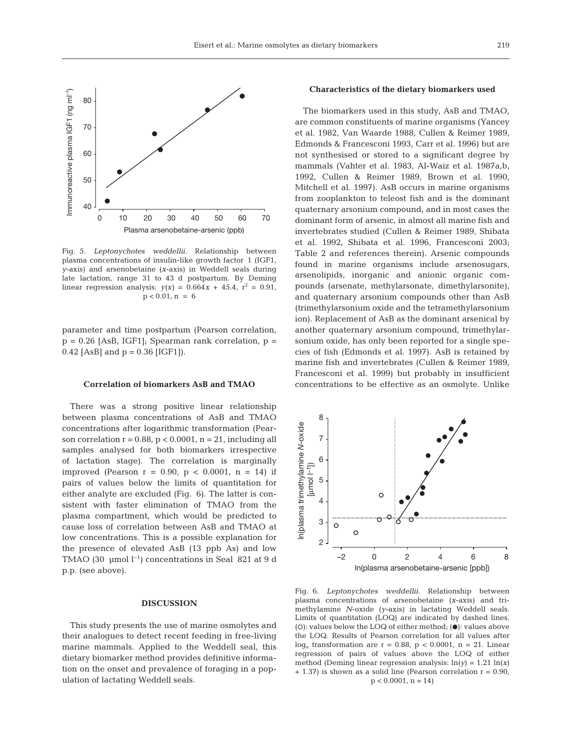![](_page_6_Figure_1.jpeg)

Fig. 5. *Leptonychotes weddellii.* Relationship between plasma concentrations of insulin-like growth factor 1 (IGF1, *y*-axis) and arsenobetaine (*x*-axis) in Weddell seals during late lactation, range 31 to 43 d postpartum. By Deming linear regression analysis:  $y(x) = 0.664x + 45.4$ ,  $r^2 = 0.91$ ,  $p < 0.01$ ,  $n = 6$ 

parameter and time postpartum (Pearson correlation,  $p = 0.26$  [AsB, IGF1]; Spearman rank correlation,  $p =$ 0.42 [AsB] and  $p = 0.36$  [IGF1]).

#### **Correlation of biomarkers AsB and TMAO**

There was a strong positive linear relationship between plasma concentrations of AsB and TMAO concentrations after logarithmic transformation (Pearson correlation  $r = 0.88$ ,  $p < 0.0001$ ,  $n = 21$ , including all samples analysed for both biomarkers irrespective of lactation stage). The correlation is marginally improved (Pearson r = 0.90, p < 0.0001, n = 14) if pairs of values below the limits of quantitation for either analyte are excluded (Fig. 6). The latter is consistent with faster elimination of TMAO from the plasma compartment, which would be predicted to cause loss of correlation between AsB and TMAO at low concentrations. This is a possible explanation for the presence of elevated AsB (13 ppb As) and low TMAO (30 µmol  $l^{-1}$ ) concentrations in Seal 821 at 9 d p.p. (see above).

# **DISCUSSION**

This study presents the use of marine osmolytes and their analogues to detect recent feeding in free-living marine mammals. Applied to the Weddell seal, this dietary biomarker method provides definitive information on the onset and prevalence of foraging in a population of lactating Weddell seals.

# **Characteristics of the dietary biomarkers used**

The biomarkers used in this study, AsB and TMAO, are common constituents of marine organisms (Yancey et al. 1982, Van Waarde 1988, Cullen & Reimer 1989, Edmonds & Francesconi 1993, Carr et al. 1996) but are not synthesised or stored to a significant degree by mammals (Vahter et al. 1983, Al-Waiz et al. 1987a,b, 1992, Cullen & Reimer 1989, Brown et al. 1990, Mitchell et al. 1997). AsB occurs in marine organisms from zooplankton to teleost fish and is the dominant quaternary arsonium compound, and in most cases the dominant form of arsenic, in almost all marine fish and invertebrates studied (Cullen & Reimer 1989, Shibata et al. 1992, Shibata et al. 1996, Francesconi 2003; Table 2 and references therein). Arsenic compounds found in marine organisms include arsenosugars, arsenolipids, inorganic and anionic organic compounds (arsenate, methylarsonate, dimethylarsonite), and quaternary arsonium compounds other than AsB (trimethylarsonium oxide and the tetramethylarsonium ion). Replacement of AsB as the dominant arsenical by another quaternary arsonium compound, trimethylarsonium oxide, has only been reported for a single species of fish (Edmonds et al. 1997). AsB is retained by marine fish and invertebrates (Cullen & Reimer 1989, Francesconi et al. 1999) but probably in insufficient concentrations to be effective as an osmolyte. Unlike

![](_page_6_Figure_10.jpeg)

Fig. 6. *Leptonychotes weddellii.* Relationship between plasma concentrations of arsenobetaine (*x*-axis) and trimethylamine *N*-oxide (*y*-axis) in lactating Weddell seals. Limits of quantitation (LOQ) are indicated by dashed lines. (O): values below the LOQ of either method;  $(\bullet)$ : values above the LOQ. Results of Pearson correlation for all values after loge transformation are r = 0.88, p < 0.0001, n = 21. Linear regression of pairs of values above the LOQ of either method (Deming linear regression analysis:  $ln(y) = 1.21 ln(x)$  $+ 1.37$ ) is shown as a solid line (Pearson correlation  $r = 0.90$ ,  $p < 0.0001$ ,  $n = 14$ )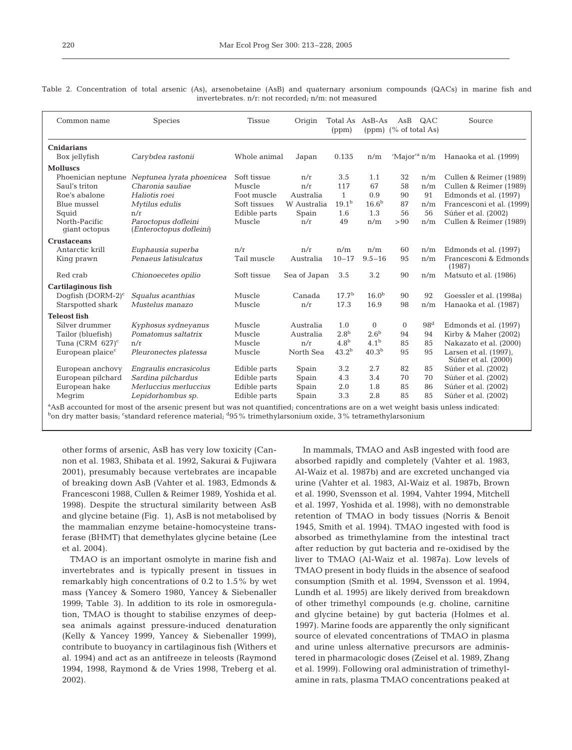|                                                     | Table 2. Concentration of total arsenic (As), arsenobetaine (AsB) and quaternary arsonium compounds (QACs) in marine fish and |  |  |  |  |  |  |  |  |  |  |  |  |  |  |  |
|-----------------------------------------------------|-------------------------------------------------------------------------------------------------------------------------------|--|--|--|--|--|--|--|--|--|--|--|--|--|--|--|
| invertebrates, n/r; not recorded; n/m; not measured |                                                                                                                               |  |  |  |  |  |  |  |  |  |  |  |  |  |  |  |

| Common name                    | <b>Species</b>                                 | <b>Tissue</b> | Origin       | Total As<br>(ppm) | $AsB-As$          | AsB<br>$(ppm)$ $(\%$ of total As) | QAC             | Source                                       |
|--------------------------------|------------------------------------------------|---------------|--------------|-------------------|-------------------|-----------------------------------|-----------------|----------------------------------------------|
| <b>Cnidarians</b>              |                                                |               |              |                   |                   |                                   |                 |                                              |
| Box jellyfish                  | Carybdea rastonii                              | Whole animal  | Japan        | 0.135             | n/m               | 'Major' <sup>a</sup> $n/m$        |                 | Hanaoka et al. (1999)                        |
| <b>Molluscs</b>                |                                                |               |              |                   |                   |                                   |                 |                                              |
| Phoenician neptune             | Neptunea lyrata phoenicea                      | Soft tissue   | n/r          | 3.5               | 1.1               | 32                                | n/m             | Cullen & Reimer (1989)                       |
| Saul's triton                  | Charonia sauliae                               | Muscle        | n/r          | 117               | 67                | 58                                | n/m             | Cullen & Reimer (1989)                       |
| Roe's abalone                  | Haliotis roei                                  | Foot muscle   | Australia    | $\mathbf{1}$      | 0.9               | 90                                | 91              | Edmonds et al. (1997)                        |
| Blue mussel                    | Mytilus edulis                                 | Soft tissues  | W Australia  | $19.1^{b}$        | 16.6 <sup>b</sup> | 87                                | n/m             | Francesconi et al. (1999)                    |
| Squid                          | n/r                                            | Edible parts  | Spain        | 1.6               | 1.3               | 56                                | 56              | Súñer et al. (2002)                          |
| North-Pacific<br>giant octopus | Paroctopus dofleini<br>(Enteroctopus dofleini) | Muscle        | n/r          | 49                | n/m               | > 90                              | n/m             | Cullen & Reimer (1989)                       |
| <b>Crustaceans</b>             |                                                |               |              |                   |                   |                                   |                 |                                              |
| Antarctic krill                | Euphausia superba                              | n/r           | n/r          | n/m               | n/m               | 60                                | n/m             | Edmonds et al. (1997)                        |
| King prawn                     | Penaeus latisulcatus                           | Tail muscle   | Australia    | $10 - 17$         | $9.5 - 16$        | 95                                | n/m             | Francesconi & Edmonds<br>(1987)              |
| Red crab                       | Chionoecetes opilio                            | Soft tissue   | Sea of Japan | 3.5               | 3.2               | 90                                | n/m             | Matsuto et al. (1986)                        |
| <b>Cartilaginous fish</b>      |                                                |               |              |                   |                   |                                   |                 |                                              |
| Doqfish (DORM-2) $c$           | Squalus acanthias                              | Muscle        | Canada       | 17.7 <sup>b</sup> | 16.0 <sup>b</sup> | 90                                | 92              | Goessler et al. (1998a)                      |
| Starspotted shark              | Mustelus manazo                                | Muscle        | n/r          | 17.3              | 16.9              | 98                                | n/m             | Hanaoka et al. (1987)                        |
| <b>Teleost</b> fish            |                                                |               |              |                   |                   |                                   |                 |                                              |
| Silver drummer                 | Kyphosus sydneyanus                            | Muscle        | Australia    | 1.0               | $\Omega$          | $\Omega$                          | 98 <sup>d</sup> | Edmonds et al. (1997)                        |
| Tailor (bluefish)              | Pomatomus saltatrix                            | Muscle        | Australia    | 2.8 <sup>b</sup>  | 2.6 <sup>b</sup>  | 94                                | 94              | Kirby & Maher (2002)                         |
| Tuna (CRM $627$ ) <sup>c</sup> | n/r                                            | Muscle        | n/r          | 4.8 <sup>b</sup>  | 4.1 <sup>b</sup>  | 85                                | 85              | Nakazato et al. (2000)                       |
| European plaice <sup>c</sup>   | Pleuronectes platessa                          | Muscle        | North Sea    | 43.2 <sup>b</sup> | 40.3 <sup>b</sup> | 95                                | 95              | Larsen et al. (1997),<br>Súñer et al. (2000) |
| European anchovy               | Engraulis encrasicolus                         | Edible parts  | Spain        | 3.2               | 2.7               | 82                                | 85              | Súñer et al. (2002)                          |
| European pilchard              | Sardina pilchardus                             | Edible parts  | Spain        | 4.3               | 3.4               | 70                                | 70              | Súñer et al. (2002)                          |
| European hake                  | Merluccius merluccius                          | Edible parts  | Spain        | 2.0               | 1.8               | 85                                | 86              | Súñer et al. (2002)                          |
| Megrim                         | Lepidorhombus sp.                              | Edible parts  | Spain        | 3.3               | 2.8               | 85                                | 85              | Súñer et al. (2002)                          |

a AsB accounted for most of the arsenic present but was not quantified; concentrations are on a wet weight basis unless indicated:  $^{\rm b}$ on dry matter basis; <sup>c</sup>standard reference material; <sup>d</sup>95 % trimethylarsonium oxide, 3 % tetramethylarsonium

other forms of arsenic, AsB has very low toxicity (Cannon et al. 1983, Shibata et al. 1992, Sakurai & Fujiwara 2001), presumably because vertebrates are incapable of breaking down AsB (Vahter et al. 1983, Edmonds & Francesconi 1988, Cullen & Reimer 1989, Yoshida et al. 1998). Despite the structural similarity between AsB and glycine betaine (Fig. 1), AsB is not metabolised by the mammalian enzyme betaine-homocysteine transferase (BHMT) that demethylates glycine betaine (Lee et al. 2004).

TMAO is an important osmolyte in marine fish and invertebrates and is typically present in tissues in remarkably high concentrations of 0.2 to 1.5% by wet mass (Yancey & Somero 1980, Yancey & Siebenaller 1999; Table 3). In addition to its role in osmoregulation, TMAO is thought to stabilise enzymes of deepsea animals against pressure-induced denaturation (Kelly & Yancey 1999, Yancey & Siebenaller 1999), contribute to buoyancy in cartilaginous fish (Withers et al. 1994) and act as an antifreeze in teleosts (Raymond 1994, 1998, Raymond & de Vries 1998, Treberg et al. 2002).

In mammals, TMAO and AsB ingested with food are absorbed rapidly and completely (Vahter et al. 1983, Al-Waiz et al. 1987b) and are excreted unchanged via urine (Vahter et al. 1983, Al-Waiz et al. 1987b, Brown et al. 1990, Svensson et al. 1994, Vahter 1994, Mitchell et al. 1997, Yoshida et al. 1998), with no demonstrable retention of TMAO in body tissues (Norris & Benoit 1945, Smith et al. 1994). TMAO ingested with food is absorbed as trimethylamine from the intestinal tract after reduction by gut bacteria and re-oxidised by the liver to TMAO (Al-Waiz et al. 1987a). Low levels of TMAO present in body fluids in the absence of seafood consumption (Smith et al. 1994, Svensson et al. 1994, Lundh et al. 1995) are likely derived from breakdown of other trimethyl compounds (e.g. choline, carnitine and glycine betaine) by gut bacteria (Holmes et al. 1997). Marine foods are apparently the only significant source of elevated concentrations of TMAO in plasma and urine unless alternative precursors are administered in pharmacologic doses (Zeisel et al. 1989, Zhang et al. 1999). Following oral administration of trimethylamine in rats, plasma TMAO concentrations peaked at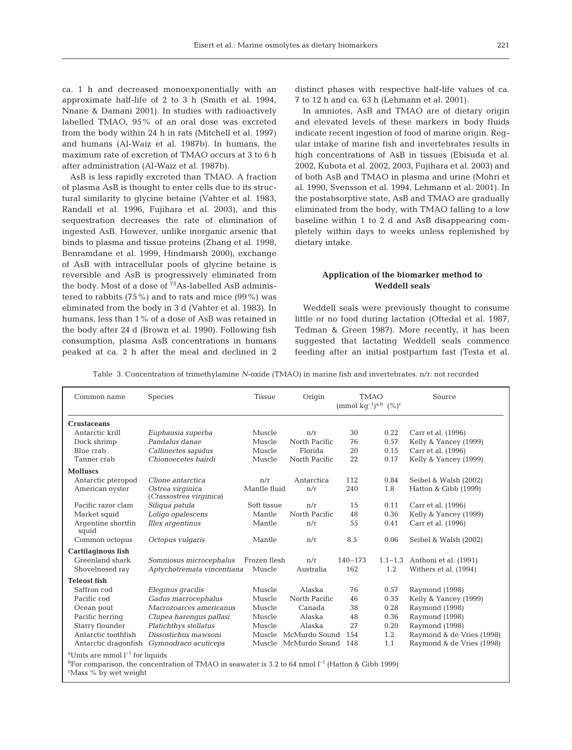ca. 1 h and decreased monoexponentially with an approximate half-life of 2 to 3 h (Smith et al. 1994, Nnane & Damani 2001). In studies with radioactively labelled TMAO, 95% of an oral dose was excreted from the body within 24 h in rats (Mitchell et al. 1997) and humans (Al-Waiz et al. 1987b). In humans, the maximum rate of excretion of TMAO occurs at 3 to 6 h after administration (Al-Waiz et al. 1987b).

AsB is less rapidly excreted than TMAO. A fraction of plasma AsB is thought to enter cells due to its structural similarity to glycine betaine (Vahter et al. 1983, Randall et al. 1996, Fujihara et al. 2003), and this sequestration decreases the rate of elimination of ingested AsB. However, unlike inorganic arsenic that binds to plasma and tissue proteins (Zhang et al. 1998, Benramdane et al. 1999, Hindmarsh 2000), exchange of AsB with intracellular pools of glycine betaine is reversible and AsB is progressively eliminated from the body. Most of a dose of <sup>73</sup>As-labelled AsB administered to rabbits (75%) and to rats and mice (99%) was eliminated from the body in 3 d (Vahter et al. 1983). In humans, less than 1% of a dose of AsB was retained in the body after 24 d (Brown et al. 1990). Following fish consumption, plasma AsB concentrations in humans peaked at ca. 2 h after the meal and declined in 2

distinct phases with respective half-life values of ca. 7 to 12 h and ca. 63 h (Lehmann et al. 2001).

In amniotes, AsB and TMAO are of dietary origin and elevated levels of these markers in body fluids indicate recent ingestion of food of marine origin. Regular intake of marine fish and invertebrates results in high concentrations of AsB in tissues (Ebisuda et al. 2002, Kubota et al. 2002, 2003, Fujihara et al. 2003) and of both AsB and TMAO in plasma and urine (Mohri et al. 1990, Svensson et al. 1994, Lehmann et al. 2001). In the postabsorptive state, AsB and TMAO are gradually eliminated from the body, with TMAO falling to a low baseline within 1 to 2 d and AsB disappearing completely within days to weeks unless replenished by dietary intake.

## **Application of the biomarker method to Weddell seals**

Weddell seals were previously thought to consume little or no food during lactation (Oftedal et al. 1987, Tedman & Green 1987). More recently, it has been suggested that lactating Weddell seals commence feeding after an initial postpartum fast (Testa et al.

Table 3. Concentration of trimethylamine *N*-oxide (TMAO) in marine fish and invertebrates. n/r: not recorded

| Common name                                                                                                                                                                                    | <b>Species</b>                              | <b>Tissue</b> | Origin<br><b>TMAO</b><br>(mmol $kq^{-1}$ ) <sup>a,b</sup> $(%)^c$ |             | Source      |                           |  |  |
|------------------------------------------------------------------------------------------------------------------------------------------------------------------------------------------------|---------------------------------------------|---------------|-------------------------------------------------------------------|-------------|-------------|---------------------------|--|--|
| <b>Crustaceans</b>                                                                                                                                                                             |                                             |               |                                                                   |             |             |                           |  |  |
| Antarctic krill                                                                                                                                                                                | Euphausia superba                           | Muscle        | n/r                                                               | 30          | 0.22        | Carr et al. (1996)        |  |  |
| Dock shrimp                                                                                                                                                                                    | Pandalus danae                              | Muscle        | North Pacific                                                     | 76          | 0.57        | Kelly & Yancey (1999)     |  |  |
| Blue crab                                                                                                                                                                                      | Callinectes sapidus                         | Muscle        | Florida                                                           | 20          | 0.15        | Carr et al. (1996)        |  |  |
| Tanner crab                                                                                                                                                                                    | Chionoecetes bairdi                         | Muscle        | North Pacific                                                     | 22          | 0.17        | Kelly & Yancey (1999)     |  |  |
| <b>Molluscs</b>                                                                                                                                                                                |                                             |               |                                                                   |             |             |                           |  |  |
| Antarctic pteropod                                                                                                                                                                             | Clione antarctica                           | n/r           | Antarctica                                                        | 112         | 0.84        | Seibel & Walsh (2002)     |  |  |
| American oyster                                                                                                                                                                                | Ostrea virginica<br>(Crassostrea virginica) | Mantle fluid  | n/r                                                               | 240         | 1.8         | Hatton & Gibb (1999)      |  |  |
| Pacific razor clam                                                                                                                                                                             | Siliqua patula                              | Soft tissue   | n/r                                                               | 15          | 0.11        | Carr et al. (1996)        |  |  |
| Market squid                                                                                                                                                                                   | Loligo opalescens                           | Mantle        | North Pacific                                                     | 48          | 0.36        | Kelly & Yancey (1999)     |  |  |
| Argentine shortfin<br>squid                                                                                                                                                                    | Illex argentinus                            | Mantle        | n/r                                                               | 55          | 0.41        | Carr et al. (1996)        |  |  |
| Common octopus                                                                                                                                                                                 | Octopus vulgaris                            | Mantle        | n/r                                                               | 8.5         | 0.06        | Seibel & Walsh (2002)     |  |  |
| <b>Cartilaginous fish</b>                                                                                                                                                                      |                                             |               |                                                                   |             |             |                           |  |  |
| Greenland shark                                                                                                                                                                                | Somniosus microcephalus                     | Frozen flesh  | n/r                                                               | $140 - 173$ | $1.1 - 1.3$ | Anthoni et al. (1991)     |  |  |
| Shovelnosed ray                                                                                                                                                                                | Aptychotremata vincentiana                  | Muscle        | Australia                                                         | 162         | 1.2         | Withers et al. (1994)     |  |  |
| <b>Teleost</b> fish                                                                                                                                                                            |                                             |               |                                                                   |             |             |                           |  |  |
| Saffron cod                                                                                                                                                                                    | Eleginus gracilis                           | Muscle        | Alaska                                                            | 76          | 0.57        | Raymond (1998)            |  |  |
| Pacific cod                                                                                                                                                                                    | Gadus macrocephalus                         | Muscle        | North Pacific                                                     | 46          | 0.35        | Kelly & Yancey (1999)     |  |  |
| Ocean pout                                                                                                                                                                                     | Macrozoarces americanus                     | Muscle        | Canada                                                            | 38          | 0.28        | Raymond (1998)            |  |  |
| Pacific herring                                                                                                                                                                                | Clupea harengus pallasi                     | Muscle        | Alaska                                                            | 48          | 0.36        | Raymond (1998)            |  |  |
| Starry flounder                                                                                                                                                                                | Platichthys stellatus                       | Muscle        | Alaska                                                            | 27          | 0.20        | Raymond (1998)            |  |  |
| Antarctic toothfish                                                                                                                                                                            | Dissostichus mawsoni                        | Muscle        | McMurdo Sound                                                     | 154         | 1.2         | Raymond & de Vries (1998) |  |  |
|                                                                                                                                                                                                | Antarctic dragonfish Gymnodraco acuticeps   | Muscle        | McMurdo Sound                                                     | 148         | 1.1         | Raymond & de Vries (1998) |  |  |
| <sup>a</sup> Units are mmol $l^{-1}$ for liquids<br><sup>b</sup> For comparison, the concentration of TMAO in seawater is 3.2 to 64 nmol $1^{-1}$ (Hatton & Gibb 1999)<br>Mass % by wet weight |                                             |               |                                                                   |             |             |                           |  |  |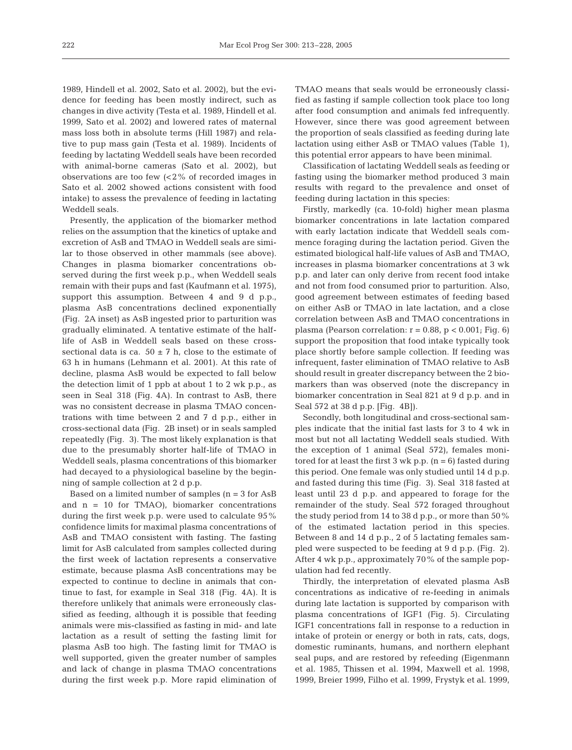1989, Hindell et al. 2002, Sato et al. 2002), but the evidence for feeding has been mostly indirect, such as changes in dive activity (Testa et al. 1989, Hindell et al. 1999, Sato et al. 2002) and lowered rates of maternal mass loss both in absolute terms (Hill 1987) and relative to pup mass gain (Testa et al. 1989). Incidents of feeding by lactating Weddell seals have been recorded with animal-borne cameras (Sato et al. 2002), but observations are too few  $\left( < 2\% \right)$  of recorded images in Sato et al. 2002 showed actions consistent with food intake) to assess the prevalence of feeding in lactating Weddell seals.

Presently, the application of the biomarker method relies on the assumption that the kinetics of uptake and excretion of AsB and TMAO in Weddell seals are similar to those observed in other mammals (see above). Changes in plasma biomarker concentrations observed during the first week p.p., when Weddell seals remain with their pups and fast (Kaufmann et al. 1975), support this assumption. Between 4 and 9 d p.p., plasma AsB concentrations declined exponentially (Fig. 2A inset) as AsB ingested prior to parturition was gradually eliminated. A tentative estimate of the halflife of AsB in Weddell seals based on these crosssectional data is ca.  $50 \pm 7$  h, close to the estimate of 63 h in humans (Lehmann et al. 2001). At this rate of decline, plasma AsB would be expected to fall below the detection limit of 1 ppb at about 1 to 2 wk p.p., as seen in Seal 318 (Fig. 4A). In contrast to AsB, there was no consistent decrease in plasma TMAO concentrations with time between 2 and 7 d p.p., either in cross-sectional data (Fig. 2B inset) or in seals sampled repeatedly (Fig. 3). The most likely explanation is that due to the presumably shorter half-life of TMAO in Weddell seals, plasma concentrations of this biomarker had decayed to a physiological baseline by the beginning of sample collection at 2 d p.p.

Based on a limited number of samples  $(n = 3$  for  $AsB$ and  $n = 10$  for TMAO), biomarker concentrations during the first week p.p. were used to calculate 95% confidence limits for maximal plasma concentrations of AsB and TMAO consistent with fasting. The fasting limit for AsB calculated from samples collected during the first week of lactation represents a conservative estimate, because plasma AsB concentrations may be expected to continue to decline in animals that continue to fast, for example in Seal 318 (Fig. 4A). It is therefore unlikely that animals were erroneously classified as feeding, although it is possible that feeding animals were mis-classified as fasting in mid- and late lactation as a result of setting the fasting limit for plasma AsB too high. The fasting limit for TMAO is well supported, given the greater number of samples and lack of change in plasma TMAO concentrations during the first week p.p. More rapid elimination of TMAO means that seals would be erroneously classified as fasting if sample collection took place too long after food consumption and animals fed infrequently. However, since there was good agreement between the proportion of seals classified as feeding during late lactation using either AsB or TMAO values (Table 1), this potential error appears to have been minimal.

Classification of lactating Weddell seals as feeding or fasting using the biomarker method produced 3 main results with regard to the prevalence and onset of feeding during lactation in this species:

Firstly, markedly (ca. 10-fold) higher mean plasma biomarker concentrations in late lactation compared with early lactation indicate that Weddell seals commence foraging during the lactation period. Given the estimated biological half-life values of AsB and TMAO, increases in plasma biomarker concentrations at 3 wk p.p. and later can only derive from recent food intake and not from food consumed prior to parturition. Also, good agreement between estimates of feeding based on either AsB or TMAO in late lactation, and a close correlation between AsB and TMAO concentrations in plasma (Pearson correlation:  $r = 0.88$ ,  $p < 0.001$ ; Fig. 6) support the proposition that food intake typically took place shortly before sample collection. If feeding was infrequent, faster elimination of TMAO relative to AsB should result in greater discrepancy between the 2 biomarkers than was observed (note the discrepancy in biomarker concentration in Seal 821 at 9 d p.p. and in Seal 572 at 38 d p.p. [Fig. 4B]).

Secondly, both longitudinal and cross-sectional samples indicate that the initial fast lasts for 3 to 4 wk in most but not all lactating Weddell seals studied. With the exception of 1 animal (Seal 572), females monitored for at least the first  $3$  wk p.p.  $(n = 6)$  fasted during this period. One female was only studied until 14 d p.p. and fasted during this time (Fig. 3). Seal 318 fasted at least until 23 d p.p. and appeared to forage for the remainder of the study. Seal 572 foraged throughout the study period from 14 to 38 d p.p., or more than 50% of the estimated lactation period in this species. Between 8 and 14 d p.p., 2 of 5 lactating females sampled were suspected to be feeding at 9 d p.p. (Fig. 2). After 4 wk p.p., approximately 70% of the sample population had fed recently.

Thirdly, the interpretation of elevated plasma AsB concentrations as indicative of re-feeding in animals during late lactation is supported by comparison with plasma concentrations of IGF1 (Fig. 5). Circulating IGF1 concentrations fall in response to a reduction in intake of protein or energy or both in rats, cats, dogs, domestic ruminants, humans, and northern elephant seal pups, and are restored by refeeding (Eigenmann et al. 1985, Thissen et al. 1994, Maxwell et al. 1998, 1999, Breier 1999, Filho et al. 1999, Frystyk et al. 1999,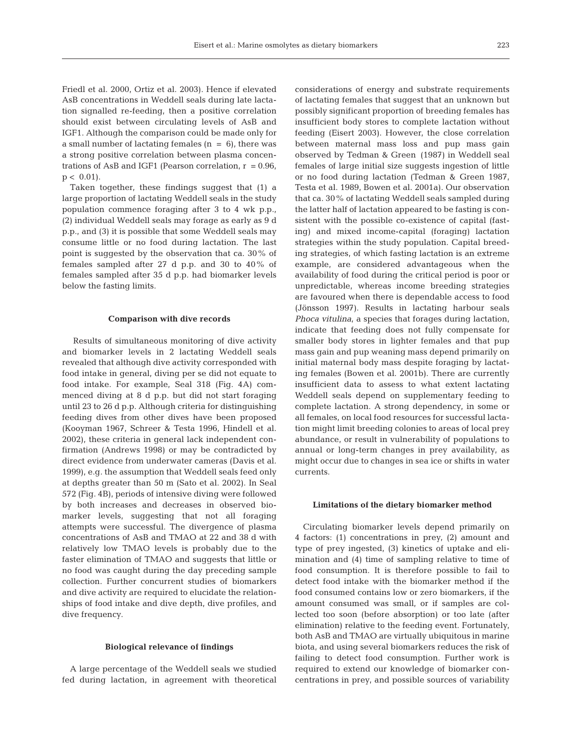Friedl et al. 2000, Ortiz et al. 2003). Hence if elevated AsB concentrations in Weddell seals during late lactation signalled re-feeding, then a positive correlation should exist between circulating levels of AsB and IGF1. Although the comparison could be made only for a small number of lactating females  $(n = 6)$ , there was a strong positive correlation between plasma concentrations of AsB and IGF1 (Pearson correlation,  $r = 0.96$ ,  $p < 0.01$ ).

Taken together, these findings suggest that (1) a large proportion of lactating Weddell seals in the study population commence foraging after 3 to 4 wk p.p., (2) individual Weddell seals may forage as early as 9 d p.p., and (3) it is possible that some Weddell seals may consume little or no food during lactation. The last point is suggested by the observation that ca. 30% of females sampled after 27 d p.p. and 30 to 40% of females sampled after 35 d p.p. had biomarker levels below the fasting limits.

#### **Comparison with dive records**

Results of simultaneous monitoring of dive activity and biomarker levels in 2 lactating Weddell seals revealed that although dive activity corresponded with food intake in general, diving per se did not equate to food intake. For example, Seal 318 (Fig. 4A) commenced diving at 8 d p.p. but did not start foraging until 23 to 26 d p.p. Although criteria for distinguishing feeding dives from other dives have been proposed (Kooyman 1967, Schreer & Testa 1996, Hindell et al. 2002), these criteria in general lack independent confirmation (Andrews 1998) or may be contradicted by direct evidence from underwater cameras (Davis et al. 1999), e.g*.* the assumption that Weddell seals feed only at depths greater than 50 m (Sato et al. 2002). In Seal 572 (Fig. 4B), periods of intensive diving were followed by both increases and decreases in observed biomarker levels, suggesting that not all foraging attempts were successful. The divergence of plasma concentrations of AsB and TMAO at 22 and 38 d with relatively low TMAO levels is probably due to the faster elimination of TMAO and suggests that little or no food was caught during the day preceding sample collection. Further concurrent studies of biomarkers and dive activity are required to elucidate the relationships of food intake and dive depth, dive profiles, and dive frequency.

#### **Biological relevance of findings**

A large percentage of the Weddell seals we studied fed during lactation, in agreement with theoretical

considerations of energy and substrate requirements of lactating females that suggest that an unknown but possibly significant proportion of breeding females has insufficient body stores to complete lactation without feeding (Eisert 2003). However, the close correlation between maternal mass loss and pup mass gain observed by Tedman & Green (1987) in Weddell seal females of large initial size suggests ingestion of little or no food during lactation (Tedman & Green 1987, Testa et al. 1989, Bowen et al. 2001a). Our observation that ca. 30% of lactating Weddell seals sampled during the latter half of lactation appeared to be fasting is consistent with the possible co-existence of capital (fasting) and mixed income-capital (foraging) lactation strategies within the study population. Capital breeding strategies, of which fasting lactation is an extreme example, are considered advantageous when the availability of food during the critical period is poor or unpredictable, whereas income breeding strategies are favoured when there is dependable access to food (Jönsson 1997). Results in lactating harbour seals *Phoca vitulina*, a species that forages during lactation, indicate that feeding does not fully compensate for smaller body stores in lighter females and that pup mass gain and pup weaning mass depend primarily on initial maternal body mass despite foraging by lactating females (Bowen et al. 2001b). There are currently insufficient data to assess to what extent lactating Weddell seals depend on supplementary feeding to complete lactation. A strong dependency, in some or all females, on local food resources for successful lactation might limit breeding colonies to areas of local prey abundance, or result in vulnerability of populations to annual or long-term changes in prey availability, as might occur due to changes in sea ice or shifts in water currents.

#### **Limitations of the dietary biomarker method**

Circulating biomarker levels depend primarily on 4 factors: (1) concentrations in prey, (2) amount and type of prey ingested, (3) kinetics of uptake and elimination and (4) time of sampling relative to time of food consumption. It is therefore possible to fail to detect food intake with the biomarker method if the food consumed contains low or zero biomarkers, if the amount consumed was small, or if samples are collected too soon (before absorption) or too late (after elimination) relative to the feeding event. Fortunately, both AsB and TMAO are virtually ubiquitous in marine biota, and using several biomarkers reduces the risk of failing to detect food consumption. Further work is required to extend our knowledge of biomarker concentrations in prey, and possible sources of variability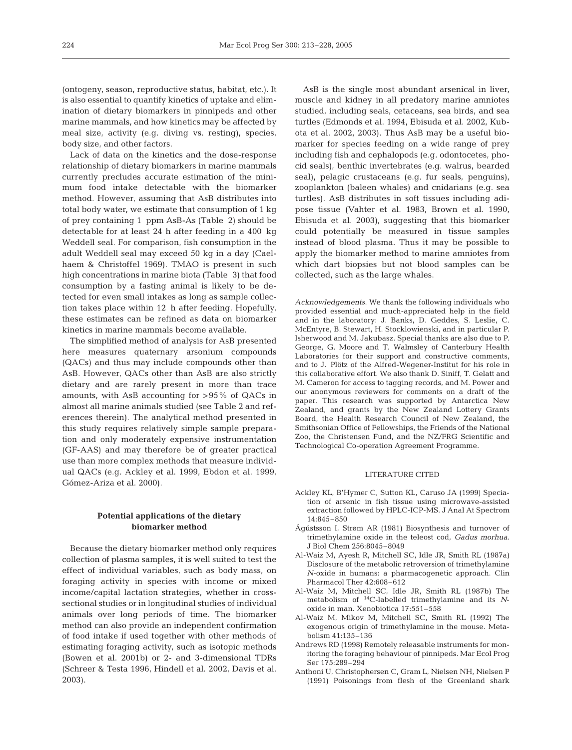(ontogeny, season, reproductive status, habitat, etc.). It is also essential to quantify kinetics of uptake and elimination of dietary biomarkers in pinnipeds and other marine mammals, and how kinetics may be affected by meal size, activity (e.g. diving vs. resting), species, body size, and other factors.

Lack of data on the kinetics and the dose-response relationship of dietary biomarkers in marine mammals currently precludes accurate estimation of the minimum food intake detectable with the biomarker method. However, assuming that AsB distributes into total body water, we estimate that consumption of 1 kg of prey containing 1 ppm AsB-As (Table 2) should be detectable for at least 24 h after feeding in a 400 kg Weddell seal. For comparison, fish consumption in the adult Weddell seal may exceed 50 kg in a day (Caelhaem & Christoffel 1969). TMAO is present in such high concentrations in marine biota (Table 3) that food consumption by a fasting animal is likely to be detected for even small intakes as long as sample collection takes place within 12 h after feeding. Hopefully, these estimates can be refined as data on biomarker kinetics in marine mammals become available.

The simplified method of analysis for AsB presented here measures quaternary arsonium compounds (QACs) and thus may include compounds other than AsB. However, QACs other than AsB are also strictly dietary and are rarely present in more than trace amounts, with AsB accounting for >95% of QACs in almost all marine animals studied (see Table 2 and references therein). The analytical method presented in this study requires relatively simple sample preparation and only moderately expensive instrumentation (GF-AAS) and may therefore be of greater practical use than more complex methods that measure individual QACs (e.g*.* Ackley et al. 1999, Ebdon et al. 1999, Gómez-Ariza et al. 2000).

## **Potential applications of the dietary biomarker method**

Because the dietary biomarker method only requires collection of plasma samples, it is well suited to test the effect of individual variables, such as body mass, on foraging activity in species with income or mixed income/capital lactation strategies, whether in crosssectional studies or in longitudinal studies of individual animals over long periods of time. The biomarker method can also provide an independent confirmation of food intake if used together with other methods of estimating foraging activity, such as isotopic methods (Bowen et al. 2001b) or 2- and 3-dimensional TDRs (Schreer & Testa 1996, Hindell et al. 2002, Davis et al. 2003).

AsB is the single most abundant arsenical in liver, muscle and kidney in all predatory marine amniotes studied, including seals, cetaceans, sea birds, and sea turtles (Edmonds et al. 1994, Ebisuda et al. 2002, Kubota et al. 2002, 2003). Thus AsB may be a useful biomarker for species feeding on a wide range of prey including fish and cephalopods (e.g*.* odontocetes, phocid seals), benthic invertebrates (e.g. walrus, bearded seal), pelagic crustaceans (e.g*.* fur seals, penguins), zooplankton (baleen whales) and cnidarians (e.g. sea turtles). AsB distributes in soft tissues including adipose tissue (Vahter et al. 1983, Brown et al. 1990, Ebisuda et al. 2003), suggesting that this biomarker could potentially be measured in tissue samples instead of blood plasma. Thus it may be possible to apply the biomarker method to marine amniotes from which dart biopsies but not blood samples can be collected, such as the large whales.

*Acknowledgements*. We thank the following individuals who provided essential and much-appreciated help in the field and in the laboratory: J. Banks, D. Geddes, S. Leslie, C. McEntyre, B. Stewart, H. Stocklowienski, and in particular P. Isherwood and M. Jakubasz. Special thanks are also due to P. George, G. Moore and T. Walmsley of Canterbury Health Laboratories for their support and constructive comments, and to J. Plötz of the Alfred-Wegener-Institut for his role in this collaborative effort. We also thank D. Siniff, T. Gelatt and M. Cameron for access to tagging records, and M. Power and our anonymous reviewers for comments on a draft of the paper. This research was supported by Antarctica New Zealand, and grants by the New Zealand Lottery Grants Board, the Health Research Council of New Zealand, the Smithsonian Office of Fellowships, the Friends of the National Zoo, the Christensen Fund, and the NZ/FRG Scientific and Technological Co-operation Agreement Programme.

#### LITERATURE CITED

- Ackley KL, B'Hymer C, Sutton KL, Caruso JA (1999) Speciation of arsenic in fish tissue using microwave-assisted extraction followed by HPLC-ICP-MS. J Anal At Spectrom 14:845–850
- Ágústsson I, Strøm AR (1981) Biosynthesis and turnover of trimethylamine oxide in the teleost cod, *Gadus morhua*. J Biol Chem 256:8045–8049
- Al-Waiz M, Ayesh R, Mitchell SC, Idle JR, Smith RL (1987a) Disclosure of the metabolic retroversion of trimethylamine *N*-oxide in humans: a pharmacogenetic approach. Clin Pharmacol Ther 42:608–612
- Al-Waiz M, Mitchell SC, Idle JR, Smith RL (1987b) The metabolism of 14C-labelled trimethylamine and its *N*oxide in man. Xenobiotica 17:551–558
- Al-Waiz M, Mikov M, Mitchell SC, Smith RL (1992) The exogenous origin of trimethylamine in the mouse. Metabolism 41:135–136
- Andrews RD (1998) Remotely releasable instruments for monitoring the foraging behaviour of pinnipeds. Mar Ecol Prog Ser 175:289–294
- Anthoni U, Christophersen C, Gram L, Nielsen NH, Nielsen P (1991) Poisonings from flesh of the Greenland shark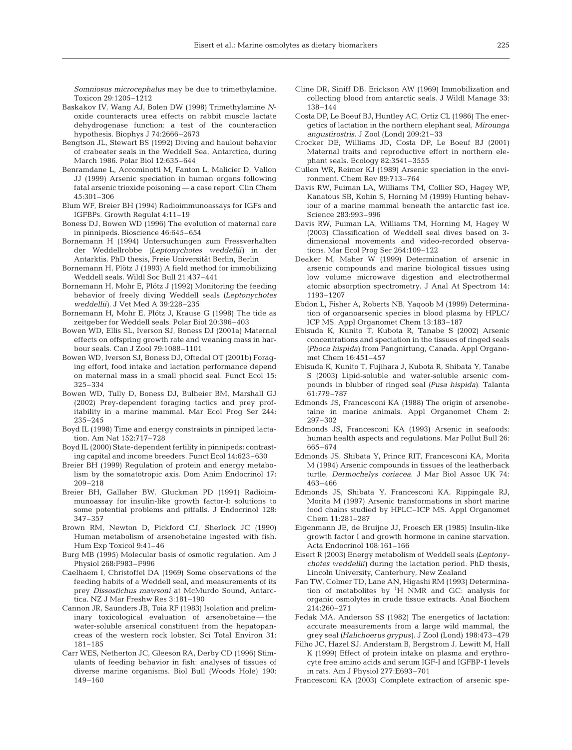*Somniosus microcephalus* may be due to trimethylamine. Toxicon 29:1205–1212

- Baskakov IV, Wang AJ, Bolen DW (1998) Trimethylamine *N*oxide counteracts urea effects on rabbit muscle lactate dehydrogenase function: a test of the counteraction hypothesis. Biophys J 74:2666–2673
- Bengtson JL, Stewart BS (1992) Diving and haulout behavior of crabeater seals in the Weddell Sea, Antarctica, during March 1986. Polar Biol 12:635–644
- Benramdane L, Accominotti M, Fanton L, Malicier D, Vallon JJ (1999) Arsenic speciation in human organs following fatal arsenic trioxide poisoning — a case report. Clin Chem 45:301–306
- Blum WF, Breier BH (1994) Radioimmunoassays for IGFs and IGFBPs. Growth Regulat 4:11–19
- Boness DJ, Bowen WD (1996) The evolution of maternal care in pinnipeds. Bioscience 46:645–654
- Bornemann H (1994) Untersuchungen zum Fressverhalten der Weddellrobbe *(Leptonychotes weddellii)* in der Antarktis. PhD thesis, Freie Universität Berlin, Berlin
- Bornemann H, Plötz J (1993) A field method for immobilizing Weddell seals. Wildl Soc Bull 21:437–441
- Bornemann H, Mohr E, Plötz J (1992) Monitoring the feeding behavior of freely diving Weddell seals *(Leptonychotes weddellii)*. J Vet Med A 39:228–235
- Bornemann H, Mohr E, Plötz J, Krause G (1998) The tide as zeitgeber for Weddell seals. Polar Biol 20:396–403
- Bowen WD, Ellis SL, Iverson SJ, Boness DJ (2001a) Maternal effects on offspring growth rate and weaning mass in harbour seals. Can J Zool 79:1088–1101
- Bowen WD, Iverson SJ, Boness DJ, Oftedal OT (2001b) Foraging effort, food intake and lactation performance depend on maternal mass in a small phocid seal. Funct Ecol 15: 325–334
- Bowen WD, Tully D, Boness DJ, Bulheier BM, Marshall GJ (2002) Prey-dependent foraging tactics and prey profitability in a marine mammal. Mar Ecol Prog Ser 244: 235–245
- Boyd IL (1998) Time and energy constraints in pinniped lactation. Am Nat 152:717–728
- Boyd IL (2000) State-dependent fertility in pinnipeds: contrasting capital and income breeders. Funct Ecol 14:623–630
- Breier BH (1999) Regulation of protein and energy metabolism by the somatotropic axis. Dom Anim Endocrinol 17: 209–218
- Breier BH, Gallaher BW, Gluckman PD (1991) Radioimmunoassay for insulin-like growth factor-I: solutions to some potential problems and pitfalls. J Endocrinol 128: 347–357
- Brown RM, Newton D, Pickford CJ, Sherlock JC (1990) Human metabolism of arsenobetaine ingested with fish. Hum Exp Toxicol 9:41–46
- Burg MB (1995) Molecular basis of osmotic regulation. Am J Physiol 268:F983–F996
- Caelhaem I, Christoffel DA (1969) Some observations of the feeding habits of a Weddell seal, and measurements of its prey *Dissostichus mawsoni* at McMurdo Sound, Antarctica. NZ J Mar Freshw Res 3:181–190
- Cannon JR, Saunders JB, Toia RF (1983) Isolation and preliminary toxicological evaluation of arsenobetaine — the water-soluble arsenical constituent from the hepatopancreas of the western rock lobster. Sci Total Environ 31: 181–185
- Carr WES, Netherton JC, Gleeson RA, Derby CD (1996) Stimulants of feeding behavior in fish: analyses of tissues of diverse marine organisms. Biol Bull (Woods Hole) 190: 149–160
- Cline DR, Siniff DB, Erickson AW (1969) Immobilization and collecting blood from antarctic seals. J Wildl Manage 33: 138–144
- Costa DP, Le Boeuf BJ, Huntley AC, Ortiz CL (1986) The energetics of lactation in the northern elephant seal, *Mirounga angustirostris*. J Zool (Lond) 209:21–33
- Crocker DE, Williams JD, Costa DP, Le Boeuf BJ (2001) Maternal traits and reproductive effort in northern elephant seals. Ecology 82:3541–3555
- Cullen WR, Reimer KJ (1989) Arsenic speciation in the environment. Chem Rev 89:713–764
- Davis RW, Fuiman LA, Williams TM, Collier SO, Hagey WP, Kanatous SB, Kohin S, Horning M (1999) Hunting behaviour of a marine mammal beneath the antarctic fast ice. Science 283:993–996
- Davis RW, Fuiman LA, Williams TM, Horning M, Hagey W (2003) Classification of Weddell seal dives based on 3 dimensional movements and video-recorded observations. Mar Ecol Prog Ser 264:109–122
- Deaker M, Maher W (1999) Determination of arsenic in arsenic compounds and marine biological tissues using low volume microwave digestion and electrothermal atomic absorption spectrometry. J Anal At Spectrom 14: 1193–1207
- Ebdon L, Fisher A, Roberts NB, Yaqoob M (1999) Determination of organoarsenic species in blood plasma by HPLC/ ICP MS. Appl Organomet Chem 13:183–187
- Ebisuda K, Kunito T, Kubota R, Tanabe S (2002) Arsenic concentrations and speciation in the tissues of ringed seals *(Phoca hispida)* from Pangnirtung, Canada. Appl Organomet Chem 16:451–457
- Ebisuda K, Kunito T, Fujihara J, Kubota R, Shibata Y, Tanabe S (2003) Lipid-soluble and water-soluble arsenic compounds in blubber of ringed seal *(Pusa hispida)*. Talanta 61:779–787
- Edmonds JS, Francesconi KA (1988) The origin of arsenobetaine in marine animals. Appl Organomet Chem 2: 297–302
- Edmonds JS, Francesconi KA (1993) Arsenic in seafoods: human health aspects and regulations. Mar Pollut Bull 26: 665–674
- Edmonds JS, Shibata Y, Prince RIT, Francesconi KA, Morita M (1994) Arsenic compounds in tissues of the leatherback turtle, *Dermochelys coriacea*. J Mar Biol Assoc UK 74: 463–466
- Edmonds JS, Shibata Y, Francesconi KA, Rippingale RJ, Morita M (1997) Arsenic transformations in short marine food chains studied by HPLC–ICP MS. Appl Organomet Chem 11:281–287
- Eigenmann JE, de Bruijne JJ, Froesch ER (1985) Insulin-like growth factor I and growth hormone in canine starvation. Acta Endocrinol 108:161–166
- Eisert R (2003) Energy metabolism of Weddell seals *(Leptonychotes weddellii)* during the lactation period. PhD thesis, Lincoln University, Canterbury, New Zealand
- Fan TW, Colmer TD, Lane AN, Higashi RM (1993) Determination of metabolites by  ${}^{1}H$  NMR and GC: analysis for organic osmolytes in crude tissue extracts. Anal Biochem 214:260–271
- Fedak MA, Anderson SS (1982) The energetics of lactation: accurate measurements from a large wild mammal, the grey seal *(Halichoerus grypus)*. J Zool (Lond) 198:473–479
- Filho JC, Hazel SJ, Anderstam B, Bergstrom J, Lewitt M, Hall K (1999) Effect of protein intake on plasma and erythrocyte free amino acids and serum IGF-I and IGFBP-1 levels in rats. Am J Physiol 277:E693–701
- Francesconi KA (2003) Complete extraction of arsenic spe-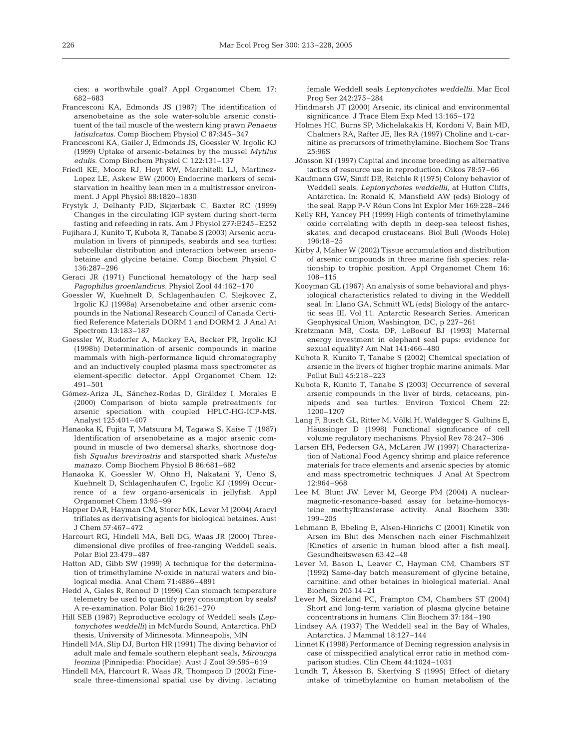cies: a worthwhile goal? Appl Organomet Chem 17: 682–683

- Francesconi KA, Edmonds JS (1987) The identification of arsenobetaine as the sole water-soluble arsenic constituent of the tail muscle of the western king prawn *Penaeus latisulcatus*. Comp Biochem Physiol C 87:345–347
- Francesconi KA, Gailer J, Edmonds JS, Goessler W, Irgolic KJ (1999) Uptake of arsenic-betaines by the mussel *Mytilus edulis.* Comp Biochem Physiol C 122:131–137
- Friedl KE, Moore RJ, Hoyt RW, Marchitelli LJ, Martinez-Lopez LE, Askew EW (2000) Endocrine markers of semistarvation in healthy lean men in a multistressor environment. J Appl Physiol 88:1820–1830
- Frystyk J, Delhanty PJD, Skjærbæk C, Baxter RC (1999) Changes in the circulating IGF system during short-term fasting and refeeding in rats. Am J Physiol 277:E245–E252
- Fujihara J, Kunito T, Kubota R, Tanabe S (2003) Arsenic accumulation in livers of pinnipeds, seabirds and sea turtles: subcellular distribution and interaction between arsenobetaine and glycine betaine. Comp Biochem Physiol C 136:287–296
- Geraci JR (1971) Functional hematology of the harp seal *Pagophilus groenlandicus.* Physiol Zool 44:162–170
- Goessler W, Kuehnelt D, Schlagenhaufen C, Slejkovec Z, Irgolic KJ (1998a) Arsenobetaine and other arsenic compounds in the National Research Council of Canada Certified Reference Materials DORM 1 and DORM 2. J Anal At Spectrom 13:183–187
- Goessler W, Rudorfer A, Mackey EA, Becker PR, Irgolic KJ (1998b) Determination of arsenic compounds in marine mammals with high-performance liquid chromatography and an inductively coupled plasma mass spectrometer as element-specific detector. Appl Organomet Chem 12: 491–501
- Gómez-Ariza JL, Sánchez-Rodas D, Giráldez I, Morales E (2000) Comparison of biota sample pretreatments for arsenic speciation with coupled HPLC-HG-ICP-MS. Analyst 125:401–407
- Hanaoka K, Fujita T, Matsuura M, Tagawa S, Kaise T (1987) Identification of arsenobetaine as a major arsenic compound in muscle of two demersal sharks, shortnose dogfish *Squalus brevirostris* and starspotted shark *Mustelus manazo*. Comp Biochem Physiol B 86:681–682
- Hanaoka K, Goessler W, Ohno H, Nakatani Y, Ueno S, Kuehnelt D, Schlagenhaufen C, Irgolic KJ (1999) Occurrence of a few organo-arsenicals in jellyfish. Appl Organomet Chem 13:95–99
- Happer DAR, Hayman CM, Storer MK, Lever M (2004) Aracyl triflates as derivatising agents for biological betaines. Aust J Chem 57:467–472
- Harcourt RG, Hindell MA, Bell DG, Waas JR (2000) Threedimensional dive profiles of free-ranging Weddell seals. Polar Biol 23:479–487
- Hatton AD, Gibb SW (1999) A technique for the determination of trimethylamine *N*-oxide in natural waters and biological media. Anal Chem 71:4886–4891
- Hedd A, Gales R, Renouf D (1996) Can stomach temperature telemetry be used to quantify prey consumption by seals? A re-examination. Polar Biol 16:261–270
- Hill SEB (1987) Reproductive ecology of Weddell seals *(Leptonychotes weddelli)* in McMurdo Sound, Antarctica. PhD thesis, University of Minnesota, Minneapolis, MN
- Hindell MA, Slip DJ, Burton HR (1991) The diving behavior of adult male and female southern elephant seals, *Mirounga leonina* (Pinnipedia: Phocidae). Aust J Zool 39:595–619
- Hindell MA, Harcourt R, Waas JR, Thompson D (2002) Finescale three-dimensional spatial use by diving, lactating

female Weddell seals *Leptonychotes weddellii*. Mar Ecol Prog Ser 242:275–284

- Hindmarsh JT (2000) Arsenic, its clinical and environmental significance. J Trace Elem Exp Med 13:165–172
- Holmes HC, Burns SP, Michelakakis H, Kordoni V, Bain MD, Chalmers RA, Rafter JE, Iles RA (1997) Choline and L-carnitine as precursors of trimethylamine. Biochem Soc Trans 25:96S
- Jönsson KI (1997) Capital and income breeding as alternative tactics of resource use in reproduction. Oikos 78:57–66
- Kaufmann GW, Siniff DB, Reichle R (1975) Colony behavior of Weddell seals, *Leptonychotes weddellii*, at Hutton Cliffs, Antarctica. In: Ronald K, Mansfield AW (eds) Biology of the seal. Rapp P-V Réun Cons Int Explor Mer 169:228–246
- Kelly RH, Yancey PH (1999) High contents of trimethylamine oxide correlating with depth in deep-sea teleost fishes, skates, and decapod crustaceans. Biol Bull (Woods Hole) 196:18–25
- Kirby J, Maher W (2002) Tissue accumulation and distribution of arsenic compounds in three marine fish species: relationship to trophic position. Appl Organomet Chem 16: 108–115
- Kooyman GL (1967) An analysis of some behavioral and physiological characteristics related to diving in the Weddell seal. In: Llano GA, Schmitt WL (eds) Biology of the antarctic seas III, Vol 11. Antarctic Research Series. American Geophysical Union, Washington, DC, p 227–261
- Kretzmann MB, Costa DP, LeBoeuf BJ (1993) Maternal energy investment in elephant seal pups: evidence for sexual equality? Am Nat 141:466–480
- Kubota R, Kunito T, Tanabe S (2002) Chemical speciation of arsenic in the livers of higher trophic marine animals. Mar Pollut Bull 45:218–223
- Kubota R, Kunito T, Tanabe S (2003) Occurrence of several arsenic compounds in the liver of birds, cetaceans, pinnipeds and sea turtles. Environ Toxicol Chem 22: 1200–1207
- Lang F, Busch GL, Ritter M, Völkl H, Waldegger S, Gulbins E, Häussinger D (1998) Functional significance of cell volume regulatory mechanisms. Physiol Rev 78:247–306
- Larsen EH, Pedersen GA, McLaren JW (1997) Characterization of National Food Agency shrimp and plaice reference materials for trace elements and arsenic species by atomic and mass spectrometric techniques. J Anal At Spectrom 12:964–968
- Lee M, Blunt JW, Lever M, George PM (2004) A nuclearmagnetic-resonance-based assay for betaine-homocysteine methyltransferase activity. Anal Biochem 330: 199–205
- Lehmann B, Ebeling E, Alsen-Hinrichs C (2001) Kinetik von Arsen im Blut des Menschen nach einer Fischmahlzeit [Kinetics of arsenic in human blood after a fish meal]. Gesundheitswesen 63:42–48
- Lever M, Bason L, Leaver C, Hayman CM, Chambers ST (1992) Same-day batch measurement of glycine betaine, carnitine, and other betaines in biological material. Anal Biochem 205:14–21
- Lever M, Sizeland PC, Frampton CM, Chambers ST (2004) Short and long-term variation of plasma glycine betaine concentrations in humans. Clin Biochem 37:184–190
- Lindsey AA (1937) The Weddell seal in the Bay of Whales, Antarctica. J Mammal 18:127–144
- Linnet K (1998) Performance of Deming regression analysis in case of misspecified analytical error ratio in method comparison studies. Clin Chem 44:1024–1031
- Lundh T, Åkesson B, Skerfving S (1995) Effect of dietary intake of trimethylamine on human metabolism of the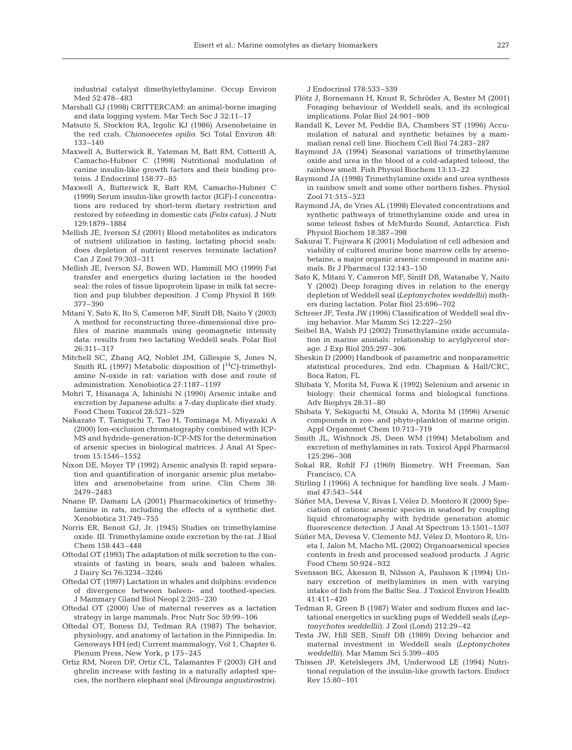industrial catalyst dimethylethylamine. Occup Environ Med 52:478–483

- Marshall GJ (1998) CRITTERCAM: an animal-borne imaging and data logging system. Mar Tech Soc J 32:11–17
- Matsuto S, Stockton RA, Irgolic KJ (1986) Arsenobetaine in the red crab, *Chionoecetes opilio.* Sci Total Environ 48: 133–140
- Maxwell A, Butterwick R, Yateman M, Batt RM, Cotterill A, Camacho-Hubner C (1998) Nutritional modulation of canine insulin-like growth factors and their binding proteins. J Endocrinol 158:77–85
- Maxwell A, Butterwick R, Batt RM, Camacho-Hubner C (1999) Serum insulin-like growth factor (IGF)-I concentrations are reduced by short-term dietary restriction and restored by refeeding in domestic cats *(Felis catus)*. J Nutr 129:1879–1884
- Mellish JE, Iverson SJ (2001) Blood metabolites as indicators of nutrient utilization in fasting, lactating phocid seals: does depletion of nutrient reserves terminate lactation? Can J Zool 79:303–311
- Mellish JE, Iverson SJ, Bowen WD, Hammill MO (1999) Fat transfer and energetics during lactation in the hooded seal: the roles of tissue lipoprotein lipase in milk fat secretion and pup blubber deposition. J Comp Physiol B 169: 377–390
- Mitani Y, Sato K, Ito S, Cameron MF, Siniff DB, Naito Y (2003) A method for reconstructing three-dimensional dive profiles of marine mammals using geomagnetic intensity data: results from two lactating Weddell seals. Polar Biol 26:311–317
- Mitchell SC, Zhang AQ, Noblet JM, Gillespie S, Jones N, Smith RL (1997) Metabolic disposition of  $[^{14}C]$ -trimethylamine N-oxide in rat: variation with dose and route of administration. Xenobiotica 27:1187–1197
- Mohri T, Hisanaga A, Ishinishi N (1990) Arsenic intake and excretion by Japanese adults: a 7-day duplicate diet study. Food Chem Toxicol 28:521–529
- Nakazato T, Taniguchi T, Tao H, Tominaga M, Miyazaki A (2000) Ion-exclusion chromatography combined with ICP-MS and hydride-generation-ICP-MS for the determination of arsenic species in biological matrices. J Anal At Spectrom 15:1546–1552
- Nixon DE, Moyer TP (1992) Arsenic analysis II: rapid separation and quantification of inorganic arsenic plus metabolites and arsenobetaine from urine. Clin Chem 38: 2479–2483
- Nnane IP, Damani LA (2001) Pharmacokinetics of trimethylamine in rats, including the effects of a synthetic diet. Xenobiotica 31:749–755
- Norris ER, Benoit GJ, Jr. (1945) Studies on trimethylamine oxide. III. Trimethylamine oxide excretion by the rat. J Biol Chem 158:443–448
- Oftedal OT (1993) The adaptation of milk secretion to the constraints of fasting in bears, seals and baleen whales. J Dairy Sci 76:3234–3246
- Oftedal OT (1997) Lactation in whales and dolphins: evidence of divergence between baleen- and toothed-species. J Mammary Gland Biol Neopl 2:205–230
- Oftedal OT (2000) Use of maternal reserves as a lactation strategy in large mammals. Proc Nutr Soc 59:99–106
- Oftedal OT, Boness DJ, Tedman RA (1987) The behavior, physiology, and anatomy of lactation in the Pinnipedia. In: Genoways HH (ed) Current mammalogy, Vol 1, Chapter 6. Plenum Press, New York, p 175–245
- Ortiz RM, Noren DP, Ortiz CL, Talamantes F (2003) GH and ghrelin increase with fasting in a naturally adapted species, the northern elephant seal *(Mirounga angustirostris)*.

J Endocrinol 178:533–539

- Plötz J, Bornemann H, Knust R, Schröder A, Bester M (2001) Foraging behaviour of Weddell seals, and its ecological implications. Polar Biol 24:901–909
- Randall K, Lever M, Peddie BA, Chambers ST (1996) Accumulation of natural and synthetic betaines by a mammalian renal cell line. Biochem Cell Biol 74:283–287
- Raymond JA (1994) Seasonal variations of trimethylamine oxide and urea in the blood of a cold-adapted teleost, the rainbow smelt. Fish Physiol Biochem 13:13–22
- Raymond JA (1998) Trimethylamine oxide and urea synthesis in rainbow smelt and some other northern fishes. Physiol Zool 71:515–523
- Raymond JA, de Vries AL (1998) Elevated concentrations and synthetic pathways of trimethylamine oxide and urea in some teleost fishes of McMurdo Sound, Antarctica. Fish Physiol Biochem 18:387–398
- Sakurai T, Fujiwara K (2001) Modulation of cell adhesion and viability of cultured murine bone marrow cells by arsenobetaine, a major organic arsenic compound in marine animals. Br J Pharmacol 132:143–150
- Sato K, Mitani Y, Cameron MF, Siniff DB, Watanabe Y, Naito Y (2002) Deep foraging dives in relation to the energy depletion of Weddell seal *(Leptonychotes weddellii)* mothers during lactation. Polar Biol 25:696–702
- Schreer JF, Testa JW (1996) Classification of Weddell seal diving behavior. Mar Mamm Sci 12:227–250
- Seibel BA, Walsh PJ (2002) Trimethylamine oxide accumulation in marine animals: relationship to acylglycerol storage. J Exp Biol 205:297–306
- Sheskin D (2000) Handbook of parametric and nonparametric statistical procedures, 2nd edn. Chapman & Hall/CRC, Boca Raton, FL
- Shibata Y, Morita M, Fuwa K (1992) Selenium and arsenic in biology: their chemical forms and biological functions. Adv Biophys 28:31–80
- Shibata Y, Sekiguchi M, Otsuki A, Morita M (1996) Arsenic compounds in zoo- and phyto-plankton of marine origin. Appl Organomet Chem 10:713–719
- Smith JL, Wishnock JS, Deen WM (1994) Metabolism and excretion of methylamines in rats. Toxicol Appl Pharmacol 125:296–308
- Sokal RR, Rohlf FJ (1969) Biometry. WH Freeman, San Francisco, CA
- Stirling I (1966) A technique for handling live seals. J Mammal 47:543–544
- Súñer MA, Devesa V, Rivas I, Vélez D, Montoro R (2000) Speciation of cationic arsenic species in seafood by coupling liquid chromatography with hydride generation atomic fluorescence detection. J Anal At Spectrom 15:1501–1507
- Súñer MA, Devesa V, Clemente MJ, Vélez D, Montoro R, Urieta I, Jalon M, Macho ML (2002) Organoarsenical species contents in fresh and processed seafood products. J Agric Food Chem 50:924–932
- Svensson BG, Åkesson B, Nilsson A, Paulsson K (1994) Urinary excretion of methylamines in men with varying intake of fish from the Baltic Sea. J Toxicol Environ Health 41:411–420
- Tedman R, Green B (1987) Water and sodium fluxes and lactational energetics in suckling pups of Weddell seals *(Leptonychotes weddellii)*. J Zool (Lond) 212:29–42
- Testa JW, Hill SEB, Siniff DB (1989) Diving behavior and maternal investment in Weddell seals *(Leptonychotes weddellii)*. Mar Mamm Sci 5:399–405
- Thissen JP, Ketelslegers JM, Underwood LE (1994) Nutritional regulation of the insulin-like growth factors. Endocr Rev 15:80–101